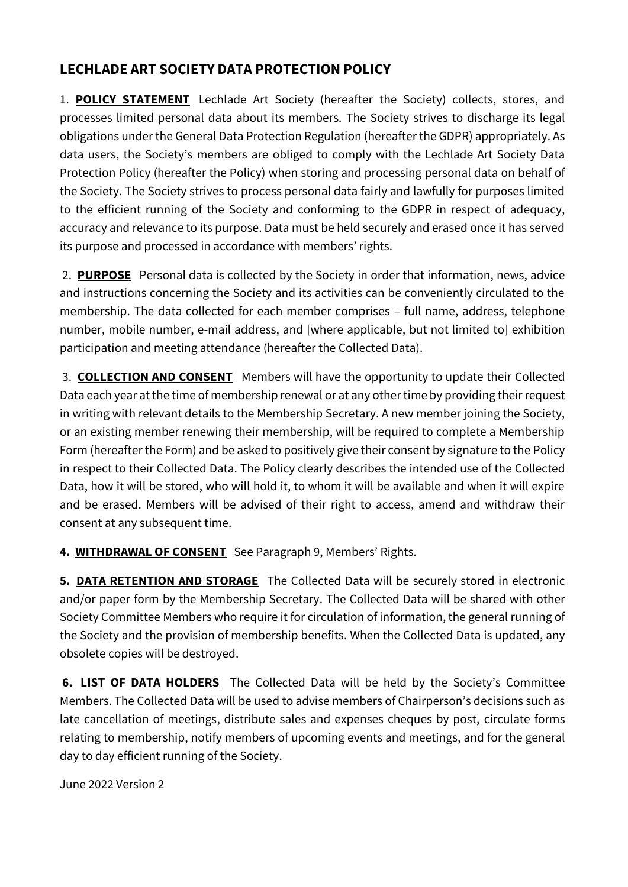## **LECHLADE ART SOCIETY DATA PROTECTION POLICY**

1. **POLICY STATEMENT** Lechlade Art Society (hereafter the Society) collects, stores, and processes limited personal data about its members. The Society strives to discharge its legal obligations under the General Data Protection Regulation (hereafter the GDPR) appropriately. As data users, the Society's members are obliged to comply with the Lechlade Art Society Data Protection Policy (hereafter the Policy) when storing and processing personal data on behalf of the Society. The Society strives to process personal data fairly and lawfully for purposes limited to the efficient running of the Society and conforming to the GDPR in respect of adequacy, accuracy and relevance to its purpose. Data must be held securely and erased once it has served its purpose and processed in accordance with members' rights.

2. **PURPOSE** Personal data is collected by the Society in order that information, news, advice and instructions concerning the Society and its activities can be conveniently circulated to the membership. The data collected for each member comprises – full name, address, telephone number, mobile number, e-mail address, and [where applicable, but not limited to] exhibition participation and meeting attendance (hereafter the Collected Data).

3. **COLLECTION AND CONSENT** Members will have the opportunity to update their Collected Data each year at the time of membership renewal or at any other time by providing their request in writing with relevant details to the Membership Secretary. A new member joining the Society, or an existing member renewing their membership, will be required to complete a Membership Form (hereafter the Form) and be asked to positively give their consent by signature to the Policy in respect to their Collected Data. The Policy clearly describes the intended use of the Collected Data, how it will be stored, who will hold it, to whom it will be available and when it will expire and be erased. Members will be advised of their right to access, amend and withdraw their consent at any subsequent time.

**4. WITHDRAWAL OF CONSENT** See Paragraph 9, Members' Rights.

**5. DATA RETENTION AND STORAGE** The Collected Data will be securely stored in electronic and/or paper form by the Membership Secretary. The Collected Data will be shared with other Society Committee Members who require it for circulation of information, the general running of the Society and the provision of membership benefits. When the Collected Data is updated, any obsolete copies will be destroyed.

**6. LIST OF DATA HOLDERS** The Collected Data will be held by the Society's Committee Members. The Collected Data will be used to advise members of Chairperson's decisions such as late cancellation of meetings, distribute sales and expenses cheques by post, circulate forms relating to membership, notify members of upcoming events and meetings, and for the general day to day efficient running of the Society.

June 2022 Version 2